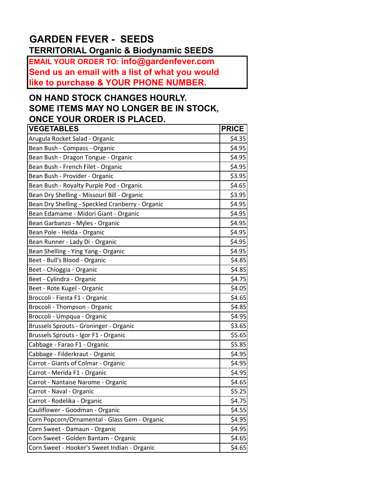## **GARDEN FEVER - SEEDS TERRITORIAL Organic & Biodynamic SEEDS**

**EMAIL YOUR ORDER TO: info@gardenfever.com Send us an email with a list of what you would like to purchase & YOUR PHONE NUMBER.**

## **ON HAND STOCK CHANGES HOURLY. SOME ITEMS MAY NO LONGER BE IN STOCK, ONCE YOUR ORDER IS PLACED.**

| <b>VEGETABLES</b>                                | <b>PRICE</b> |
|--------------------------------------------------|--------------|
| Arugula Rocket Salad - Organic                   | \$4.35       |
| Bean Bush - Compass - Organic                    | \$4.95       |
| Bean Bush - Dragon Tongue - Organic              | \$4.95       |
| Bean Bush - French Filet - Organic               | \$4.95       |
| Bean Bush - Provider - Organic                   | \$3.95       |
| Bean Bush - Royalty Purple Pod - Organic         | \$4.65       |
| Bean Dry Shelling - Missouri Bill - Organic      | \$3.95       |
| Bean Dry Shelling - Speckled Cranberry - Organic | \$4.95       |
| Bean Edamame - Midori Giant - Organic            | \$4.95       |
| Bean Garbanzo - Myles - Organic                  | \$4.95       |
| Bean Pole - Helda - Organic                      | \$4.95       |
| Bean Runner - Lady Di - Organic                  | \$4.95       |
| Bean Shelling - Ying Yang - Organic              | \$4.95       |
| Beet - Bull's Blood - Organic                    | \$4.85       |
| Beet - Chioggia - Organic                        | \$4.85       |
| Beet - Cylindra - Organic                        | \$4.75       |
| Beet - Rote Kugel - Organic                      | \$4.05       |
| Broccoli - Fiesta F1 - Organic                   | \$4.65       |
| Broccoli - Thompson - Organic                    | \$4.85       |
| Broccoli - Umpqua - Organic                      | \$4.95       |
| Brussels Sprouts - Groninger - Organic           | \$3.65       |
| Brussels Sprouts - Igor F1 - Organic             | \$5.65       |
| Cabbage - Farao F1 - Organic                     | \$5.85       |
| Cabbage - Filderkraut - Organic                  | \$4.95       |
| Carrot - Giants of Colmar - Organic              | \$4.95       |
| Carrot - Merida F1 - Organic                     | \$4.95       |
| Carrot - Nantaise Narome - Organic               | \$4.65       |
| Carrot - Naval - Organic                         | \$5.25       |
| Carrot - Rodelika - Organic                      | \$4.75       |
| Cauliflower - Goodman - Organic                  | \$4.55       |
| Corn Popcorn/Ornamental - Glass Gem - Organic    | \$4.95       |
| Corn Sweet - Damaun - Organic                    | \$4.95       |
| Corn Sweet - Golden Bantam - Organic             | \$4.65       |
| Corn Sweet - Hooker's Sweet Indian - Organic     | \$4.65       |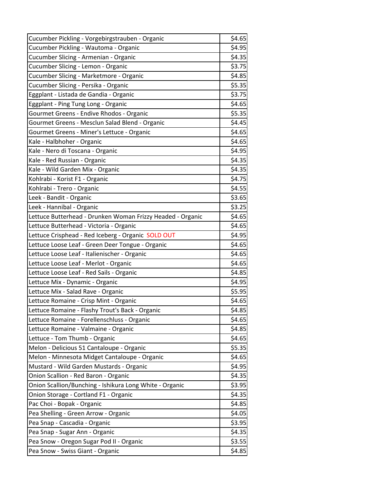| Cucumber Pickling - Vorgebirgstrauben - Organic            | \$4.65 |
|------------------------------------------------------------|--------|
| Cucumber Pickling - Wautoma - Organic                      | \$4.95 |
| Cucumber Slicing - Armenian - Organic                      | \$4.35 |
| Cucumber Slicing - Lemon - Organic                         | \$3.75 |
| Cucumber Slicing - Marketmore - Organic                    | \$4.85 |
| Cucumber Slicing - Persika - Organic                       | \$5.35 |
| Eggplant - Listada de Gandia - Organic                     | \$3.75 |
| Eggplant - Ping Tung Long - Organic                        | \$4.65 |
| Gourmet Greens - Endive Rhodos - Organic                   | \$5.35 |
| Gourmet Greens - Mesclun Salad Blend - Organic             | \$4.45 |
| Gourmet Greens - Miner's Lettuce - Organic                 | \$4.65 |
| Kale - Halbhoher - Organic                                 | \$4.65 |
| Kale - Nero di Toscana - Organic                           | \$4.95 |
| Kale - Red Russian - Organic                               | \$4.35 |
| Kale - Wild Garden Mix - Organic                           | \$4.35 |
| Kohlrabi - Korist F1 - Organic                             | \$4.75 |
| Kohlrabi - Trero - Organic                                 | \$4.55 |
| Leek - Bandit - Organic                                    | \$3.65 |
| Leek - Hannibal - Organic                                  | \$3.25 |
| Lettuce Butterhead - Drunken Woman Frizzy Headed - Organic | \$4.65 |
| Lettuce Butterhead - Victoria - Organic                    | \$4.65 |
| Lettuce Crisphead - Red Iceberg - Organic SOLD OUT         | \$4.95 |
| Lettuce Loose Leaf - Green Deer Tongue - Organic           | \$4.65 |
| Lettuce Loose Leaf - Italienischer - Organic               | \$4.65 |
| Lettuce Loose Leaf - Merlot - Organic                      | \$4.65 |
| Lettuce Loose Leaf - Red Sails - Organic                   | \$4.85 |
| Lettuce Mix - Dynamic - Organic                            | \$4.95 |
| Lettuce Mix - Salad Rave - Organic                         | \$5.95 |
| Lettuce Romaine - Crisp Mint - Organic                     | \$4.65 |
| Lettuce Romaine - Flashy Trout's Back - Organic            | \$4.85 |
| Lettuce Romaine - Forellenschluss - Organic                | \$4.65 |
| Lettuce Romaine - Valmaine - Organic                       | \$4.85 |
| Lettuce - Tom Thumb - Organic                              | \$4.65 |
| Melon - Delicious 51 Cantaloupe - Organic                  | \$5.35 |
| Melon - Minnesota Midget Cantaloupe - Organic              | \$4.65 |
| Mustard - Wild Garden Mustards - Organic                   | \$4.95 |
| Onion Scallion - Red Baron - Organic                       | \$4.35 |
| Onion Scallion/Bunching - Ishikura Long White - Organic    | \$3.95 |
| Onion Storage - Cortland F1 - Organic                      | \$4.35 |
| Pac Choi - Bopak - Organic                                 | \$4.85 |
| Pea Shelling - Green Arrow - Organic                       | \$4.05 |
| Pea Snap - Cascadia - Organic                              | \$3.95 |
| Pea Snap - Sugar Ann - Organic                             | \$4.35 |
| Pea Snow - Oregon Sugar Pod II - Organic                   | \$3.55 |
| Pea Snow - Swiss Giant - Organic                           | \$4.85 |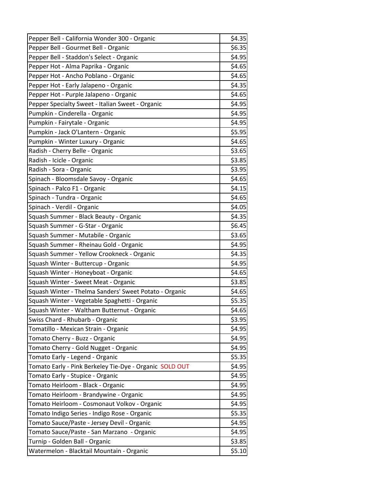| Pepper Bell - California Wonder 300 - Organic           | \$4.35 |
|---------------------------------------------------------|--------|
| Pepper Bell - Gourmet Bell - Organic                    | \$6.35 |
| Pepper Bell - Staddon's Select - Organic                | \$4.95 |
| Pepper Hot - Alma Paprika - Organic                     | \$4.65 |
| Pepper Hot - Ancho Poblano - Organic                    | \$4.65 |
| Pepper Hot - Early Jalapeno - Organic                   | \$4.35 |
| Pepper Hot - Purple Jalapeno - Organic                  | \$4.65 |
| Pepper Specialty Sweet - Italian Sweet - Organic        | \$4.95 |
| Pumpkin - Cinderella - Organic                          | \$4.95 |
| Pumpkin - Fairytale - Organic                           | \$4.95 |
| Pumpkin - Jack O'Lantern - Organic                      | \$5.95 |
| Pumpkin - Winter Luxury - Organic                       | \$4.65 |
| Radish - Cherry Belle - Organic                         | \$3.65 |
| Radish - Icicle - Organic                               | \$3.85 |
| Radish - Sora - Organic                                 | \$3.95 |
| Spinach - Bloomsdale Savoy - Organic                    | \$4.65 |
| Spinach - Palco F1 - Organic                            | \$4.15 |
| Spinach - Tundra - Organic                              | \$4.65 |
| Spinach - Verdil - Organic                              | \$4.05 |
| Squash Summer - Black Beauty - Organic                  | \$4.35 |
| Squash Summer - G-Star - Organic                        | \$6.45 |
| Squash Summer - Mutabile - Organic                      | \$3.65 |
| Squash Summer - Rheinau Gold - Organic                  | \$4.95 |
| Squash Summer - Yellow Crookneck - Organic              | \$4.35 |
| Squash Winter - Buttercup - Organic                     | \$4.95 |
| Squash Winter - Honeyboat - Organic                     | \$4.65 |
| Squash Winter - Sweet Meat - Organic                    | \$3.85 |
| Squash Winter - Thelma Sanders' Sweet Potato - Organic  | \$4.65 |
| Squash Winter - Vegetable Spaghetti - Organic           | \$5.35 |
| Squash Winter - Waltham Butternut - Organic             | \$4.65 |
| Swiss Chard - Rhubarb - Organic                         | \$3.95 |
| Tomatillo - Mexican Strain - Organic                    | \$4.95 |
| Tomato Cherry - Buzz - Organic                          | \$4.95 |
| Tomato Cherry - Gold Nugget - Organic                   | \$4.95 |
| Tomato Early - Legend - Organic                         | \$5.35 |
| Tomato Early - Pink Berkeley Tie-Dye - Organic SOLD OUT | \$4.95 |
| Tomato Early - Stupice - Organic                        | \$4.95 |
| Tomato Heirloom - Black - Organic                       | \$4.95 |
| Tomato Heirloom - Brandywine - Organic                  | \$4.95 |
| Tomato Heirloom - Cosmonaut Volkov - Organic            | \$4.95 |
| Tomato Indigo Series - Indigo Rose - Organic            | \$5.35 |
| Tomato Sauce/Paste - Jersey Devil - Organic             | \$4.95 |
| Tomato Sauce/Paste - San Marzano - Organic              | \$4.95 |
| Turnip - Golden Ball - Organic                          | \$3.85 |
| Watermelon - Blacktail Mountain - Organic               | \$5.10 |